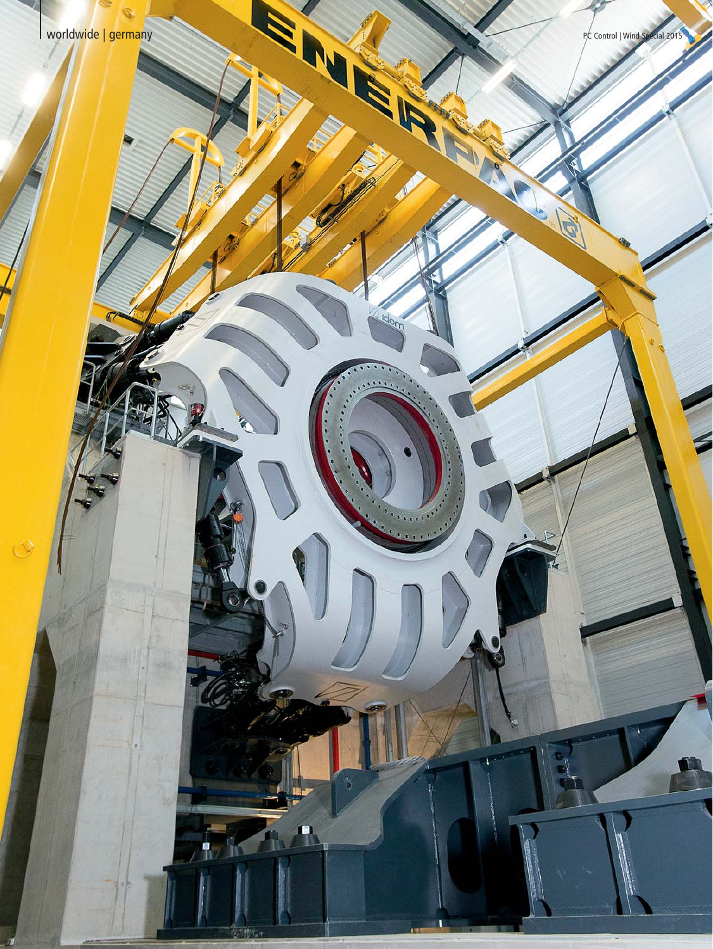$\mathbf \Omega$ 

ı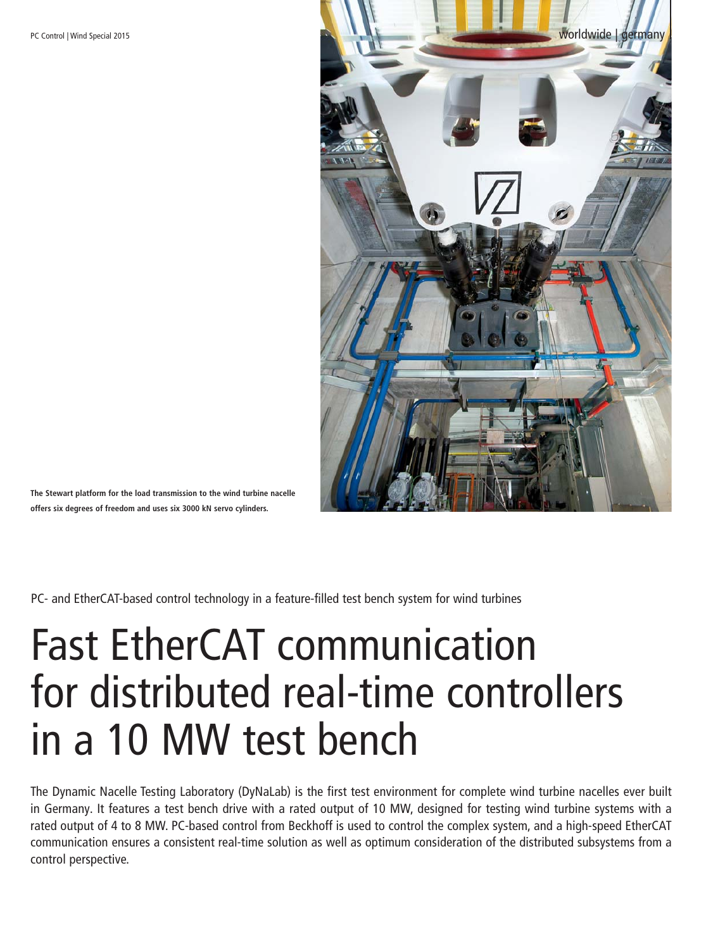

**The Stewart platform for the load transmission to the wind turbine nacelle offers six degrees of freedom and uses six 3000 kN servo cylinders.**

PC- and EtherCAT-based control technology in a feature-filled test bench system for wind turbines

## Fast EtherCAT communication for distributed real-time controllers in a 10 MW test bench

The Dynamic Nacelle Testing Laboratory (DyNaLab) is the first test environment for complete wind turbine nacelles ever built in Germany. It features a test bench drive with a rated output of 10 MW, designed for testing wind turbine systems with a rated output of 4 to 8 MW. PC-based control from Beckhoff is used to control the complex system, and a high-speed EtherCAT communication ensures a consistent real-time solution as well as optimum consideration of the distributed subsystems from a control perspective.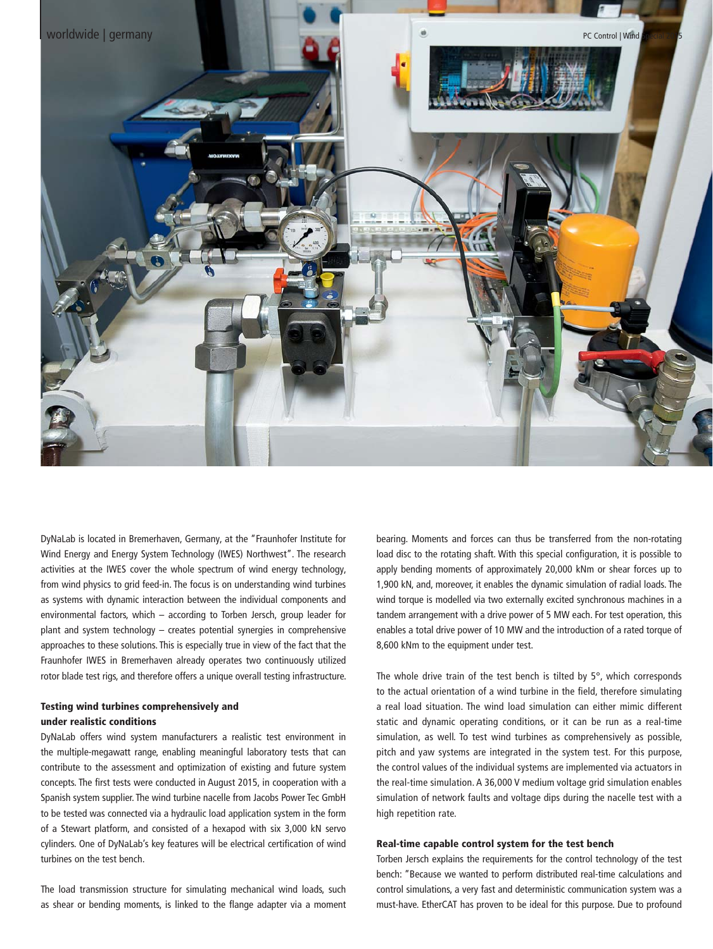

DyNaLab is located in Bremerhaven, Germany, at the "Fraunhofer Institute for Wind Energy and Energy System Technology (IWES) Northwest". The research activities at the IWES cover the whole spectrum of wind energy technology, from wind physics to grid feed-in. The focus is on understanding wind turbines as systems with dynamic interaction between the individual components and environmental factors, which – according to Torben Jersch, group leader for plant and system technology – creates potential synergies in comprehensive approaches to these solutions. This is especially true in view of the fact that the Fraunhofer IWES in Bremerhaven already operates two continuously utilized rotor blade test rigs, and therefore offers a unique overall testing infrastructure.

## Testing wind turbines comprehensively and under realistic conditions

DyNaLab offers wind system manufacturers a realistic test environment in the multiple-megawatt range, enabling meaningful laboratory tests that can contribute to the assessment and optimization of existing and future system concepts. The first tests were conducted in August 2015, in cooperation with a Spanish system supplier. The wind turbine nacelle from Jacobs Power Tec GmbH to be tested was connected via a hydraulic load application system in the form of a Stewart platform, and consisted of a hexapod with six 3,000 kN servo cylinders. One of DyNaLab's key features will be electrical certification of wind turbines on the test bench.

The load transmission structure for simulating mechanical wind loads, such as shear or bending moments, is linked to the flange adapter via a moment bearing. Moments and forces can thus be transferred from the non-rotating load disc to the rotating shaft. With this special configuration, it is possible to apply bending moments of approximately 20,000 kNm or shear forces up to 1,900 kN, and, moreover, it enables the dynamic simulation of radial loads. The wind torque is modelled via two externally excited synchronous machines in a tandem arrangement with a drive power of 5 MW each. For test operation, this enables a total drive power of 10 MW and the introduction of a rated torque of 8,600 kNm to the equipment under test.

The whole drive train of the test bench is tilted by 5°, which corresponds to the actual orientation of a wind turbine in the field, therefore simulating a real load situation. The wind load simulation can either mimic different static and dynamic operating conditions, or it can be run as a real-time simulation, as well. To test wind turbines as comprehensively as possible, pitch and yaw systems are integrated in the system test. For this purpose, the control values of the individual systems are implemented via actuators in the real-time simulation. A 36,000 V medium voltage grid simulation enables simulation of network faults and voltage dips during the nacelle test with a high repetition rate.

## Real-time capable control system for the test bench

Torben Jersch explains the requirements for the control technology of the test bench: "Because we wanted to perform distributed real-time calculations and control simulations, a very fast and deterministic communication system was a must-have. EtherCAT has proven to be ideal for this purpose. Due to profound